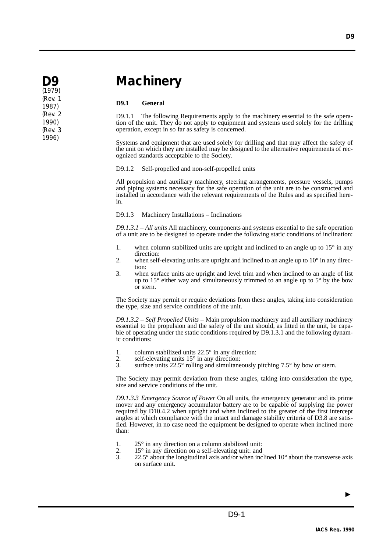# **Machinery**

# **D9.1 General**

D9.1.1 The following Requirements apply to the machinery essential to the safe operation of the unit. They do not apply to equipment and systems used solely for the drilling operation, except in so far as safety is concerned.

Systems and equipment that are used solely for drilling and that may affect the safety of the unit on which they are installed may be designed to the alternative requirements of recognized standards acceptable to the Society.

D9.1.2 Self-propelled and non-self-propelled units

All propulsion and auxiliary machinery, steering arrangements, pressure vessels, pumps and piping systems necessary for the safe operation of the unit are to be constructed and installed in accordance with the relevant requirements of the Rules and as specified herein.

D9.1.3 Machinery Installations – Inclinations

*D9.1.3.1 – All units* All machinery, components and systems essential to the safe operation of a unit are to be designed to operate under the following static conditions of inclination:

- 1. when column stabilized units are upright and inclined to an angle up to 15° in any direction:
- 2. when self-elevating units are upright and inclined to an angle up to  $10^{\circ}$  in any direction:
- 3. when surface units are upright and level trim and when inclined to an angle of list up to 15° either way and simultaneously trimmed to an angle up to 5° by the bow or stern.

The Society may permit or require deviations from these angles, taking into consideration the type, size and service conditions of the unit.

*D9.1.3.2 – Self Propelled Units* – Main propulsion machinery and all auxiliary machinery essential to the propulsion and the safety of the unit should, as fitted in the unit, be capable of operating under the static conditions required by D9.1.3.1 and the following dynamic conditions:

- 1. column stabilized units  $22.5^\circ$  in any direction:<br>2. self-elevating units  $15^\circ$  in any direction:
- 2. self-elevating units  $15^\circ$  in any direction:<br>3. surface units  $22.5^\circ$  rolling and simultane
- surface units  $22.5^\circ$  rolling and simultaneously pitching  $7.5^\circ$  by bow or stern.

The Society may permit deviation from these angles, taking into consideration the type, size and service conditions of the unit.

*D9.1.3.3 Emergency Source of Power* On all units, the emergency generator and its prime mover and any emergency accumulator battery are to be capable of supplying the power required by D10.4.2 when upright and when inclined to the greater of the first intercept angles at which compliance with the intact and damage stability criteria of D3.8 are satisfied. However, in no case need the equipment be designed to operate when inclined more than:

- 1.  $25^\circ$  in any direction on a column stabilized unit:<br>2.  $15^\circ$  in any direction on a self-elevating unit: and
- 2. 15° in any direction on a self-elevating unit: and<br>  $\frac{3}{2}$  22.5° about the longitudinal axis and/or when inc
- $22.5^{\circ}$  about the longitudinal axis and/or when inclined 10 $^{\circ}$  about the transverse axis on surface unit.

▲



(1979) (Rev. 1 1987) (Rev. 2 1990) (Rev. 3 1996)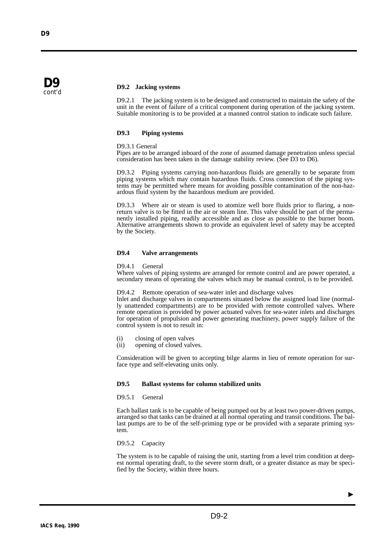

**D9** cont'd

# **D9.2 Jacking systems**

D9.2.1 The jacking system is to be designed and constructed to maintain the safety of the unit in the event of failure of a critical component during operation of the jacking system. Suitable monitoring is to be provided at a manned control station to indicate such failure.

# **D9.3 Piping systems**

# D9.3.1 General

Pipes are to be arranged inboard of the zone of assumed damage penetration unless special consideration has been taken in the damage stability review. (See D3 to D6).

D9.3.2 Piping systems carrying non-hazardous fluids are generally to be separate from piping systems which may contain hazardous fluids. Cross connection of the piping systems may be permitted where means for avoiding possible contamination of the non-hazardous fluid system by the hazardous medium are provided.

D9.3.3 Where air or steam is used to atomize well bore fluids prior to flaring, a nonreturn valve is to be fitted in the air or steam line. This valve should be part of the permanently installed piping, readily accessible and as close as possible to the burner boom. Alternative arrangements shown to provide an equivalent level of safety may be accepted by the Society.

# **D9.4 Valve arrangements**

D9.4.1 General

Where valves of piping systems are arranged for remote control and are power operated, a secondary means of operating the valves which may be manual control, is to be provided.

D9.4.2 Remote operation of sea-water inlet and discharge valves

Inlet and discharge valves in compartments situated below the assigned load line (normally unattended compartments) are to be provided with remote controlled valves. Where remote operation is provided by power actuated valves for sea-water inlets and discharges for operation of propulsion and power generating machinery, power supply failure of the control system is not to result in:

- (i) closing of open valves
- (ii) opening of closed valves.

Consideration will be given to accepting bilge alarms in lieu of remote operation for surface type and self-elevating units only.

# **D9.5 Ballast systems for column stabilized units**

#### D9.5.1 General

Each ballast tank is to be capable of being pumped out by at least two power-driven pumps, arranged so that tanks can be drained at all normal operating and transit conditions. The ballast pumps are to be of the self-priming type or be provided with a separate priming system.

D9.5.2 Capacity

The system is to be capable of raising the unit, starting from a level trim condition at deepest normal operating draft, to the severe storm draft, or a greater distance as may be specified by the Society, within three hours.

▲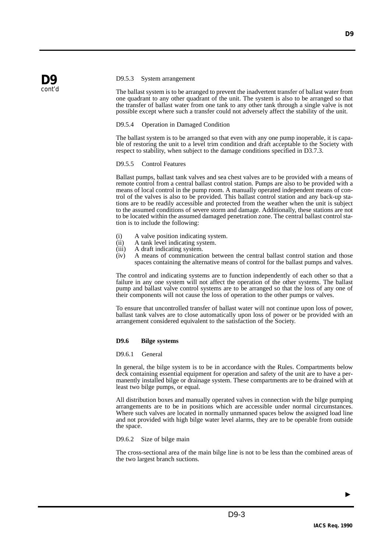

## D9.5.3 System arrangement

The ballast system is to be arranged to prevent the inadvertent transfer of ballast water from one quadrant to any other quadrant of the unit. The system is also to be arranged so that the transfer of ballast water from one tank to any other tank through a single valve is not possible except where such a transfer could not adversely affect the stability of the unit.

# D9.5.4 Operation in Damaged Condition

The ballast system is to be arranged so that even with any one pump inoperable, it is capable of restoring the unit to a level trim condition and draft acceptable to the Society with respect to stability, when subject to the damage conditions specified in D3.7.3.

# D9.5.5 Control Features

Ballast pumps, ballast tank valves and sea chest valves are to be provided with a means of remote control from a central ballast control station. Pumps are also to be provided with a means of local control in the pump room. A manually operated independent means of control of the valves is also to be provided. This ballast control station and any back-up stations are to be readily accessible and protected from the weather when the unit is subject to the assumed conditions of severe storm and damage. Additionally, these stations are not to be located within the assumed damaged penetration zone. The central ballast control station is to include the following:

- (i) A valve position indicating system.<br>(ii) A tank level indicating system.
- A tank level indicating system.
- (iii) A draft indicating system.<br>(iv) A means of communication
- A means of communication between the central ballast control station and those spaces containing the alternative means of control for the ballast pumps and valves.

The control and indicating systems are to function independently of each other so that a failure in any one system will not affect the operation of the other systems. The ballast pump and ballast valve control systems are to be arranged so that the loss of any one of their components will not cause the loss of operation to the other pumps or valves.

To ensure that uncontrolled transfer of ballast water will not continue upon loss of power, ballast tank valves are to close automatically upon loss of power or be provided with an arrangement considered equivalent to the satisfaction of the Society.

# **D9.6 Bilge systems**

# D9.6.1 General

In general, the bilge system is to be in accordance with the Rules. Compartments below deck containing essential equipment for operation and safety of the unit are to have a permanently installed bilge or drainage system. These compartments are to be drained with at least two bilge pumps, or equal.

All distribution boxes and manually operated valves in connection with the bilge pumping arrangements are to be in positions which are accessible under normal circumstances. Where such valves are located in normally unmanned spaces below the assigned load line and not provided with high bilge water level alarms, they are to be operable from outside the space.

# D9.6.2 Size of bilge main

The cross-sectional area of the main bilge line is not to be less than the combined areas of the two largest branch suctions.

▲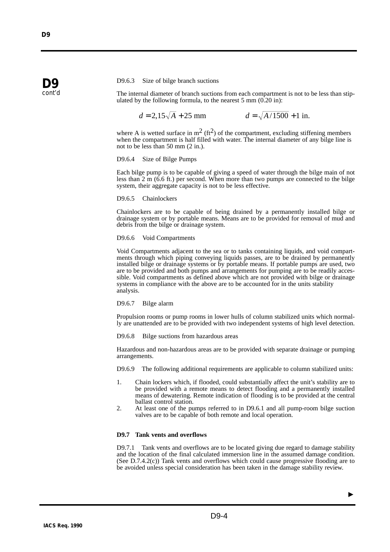## D9.6.3 Size of bilge branch suctions

The internal diameter of branch suctions from each compartment is not to be less than stipulated by the following formula, to the nearest 5 mm (0.20 in):

 $d = 2.15\sqrt{A} + 25$  mm  $d = \sqrt{A/1500} + 1$  in.

where A is wetted surface in  $m^2$  (ft<sup>2</sup>) of the compartment, excluding stiffening members when the compartment is half filled with water. The internal diameter of any bilge line is not to be less than 50 mm (2 in.).

#### D9.6.4 Size of Bilge Pumps

Each bilge pump is to be capable of giving a speed of water through the bilge main of not less than 2 m (6.6 ft.) per second. When more than two pumps are connected to the bilge system, their aggregate capacity is not to be less effective.

#### D9.6.5 Chainlockers

Chainlockers are to be capable of being drained by a permanently installed bilge or drainage system or by portable means. Means are to be provided for removal of mud and debris from the bilge or drainage system.

#### D9.6.6 Void Compartments

Void Compartments adjacent to the sea or to tanks containing liquids, and void compartments through which piping conveying liquids passes, are to be drained by permanently installed bilge or drainage systems or by portable means. If portable pumps are used, two are to be provided and both pumps and arrangements for pumping are to be readily accessible. Void compartments as defined above which are not provided with bilge or drainage systems in compliance with the above are to be accounted for in the units stability analysis.

# D9.6.7 Bilge alarm

Propulsion rooms or pump rooms in lower hulls of column stabilized units which normally are unattended are to be provided with two independent systems of high level detection.

D9.6.8 Bilge suctions from hazardous areas

Hazardous and non-hazardous areas are to be provided with separate drainage or pumping arrangements.

D9.6.9 The following additional requirements are applicable to column stabilized units:

- 1. Chain lockers which, if flooded, could substantially affect the unit's stability are to be provided with a remote means to detect flooding and a permanently installed means of dewatering. Remote indication of flooding is to be provided at the central ballast control station.
- 2. At least one of the pumps referred to in D9.6.1 and all pump-room bilge suction valves are to be capable of both remote and local operation.

# **D9.7 Tank vents and overflows**

D9.7.1 Tank vents and overflows are to be located giving due regard to damage stability and the location of the final calculated immersion line in the assumed damage condition. (See D.7.4.2(c)) Tank vents and overflows which could cause progressive flooding are to be avoided unless special consideration has been taken in the damage stability review.

**D9** cont'd

▲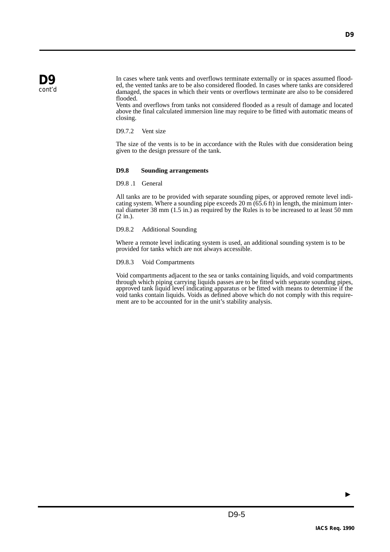In cases where tank vents and overflows terminate externally or in spaces assumed flooded, the vented tanks are to be also considered flooded. In cases where tanks are considered damaged, the spaces in which their vents or overflows terminate are also to be considered flooded.

Vents and overflows from tanks not considered flooded as a result of damage and located above the final calculated immersion line may require to be fitted with automatic means of closing.

D9.7.2 Vent size

The size of the vents is to be in accordance with the Rules with due consideration being given to the design pressure of the tank.

# **D9.8 Sounding arrangements**

D9.8 .1 General

All tanks are to be provided with separate sounding pipes, or approved remote level indicating system. Where a sounding pipe exceeds 20 m (65.6 ft) in length, the minimum internal diameter 38 mm (1.5 in.) as required by the Rules is to be increased to at least 50 mm (2 in.).

# D9.8.2 Additional Sounding

Where a remote level indicating system is used, an additional sounding system is to be provided for tanks which are not always accessible.

# D9.8.3 Void Compartments

Void compartments adjacent to the sea or tanks containing liquids, and void compartments through which piping carrying liquids passes are to be fitted with separate sounding pipes, approved tank liquid level indicating apparatus or be fitted with means to determine if the void tanks contain liquids. Voids as defined above which do not comply with this requirement are to be accounted for in the unit's stability analysis.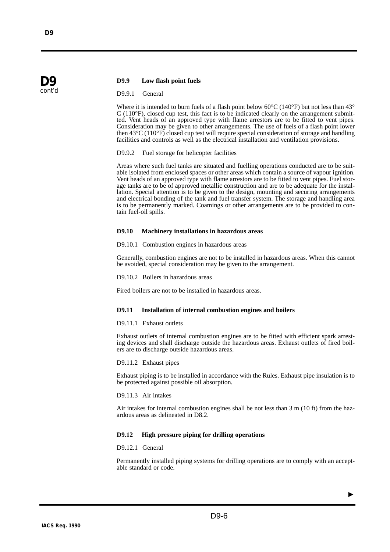# **D9.9 Low flash point fuels**

D9.9.1 General

Where it is intended to burn fuels of a flash point below 60 $\degree$ C (140 $\degree$ F) but not less than 43 $\degree$  $C(110^{\circ}F)$ , closed cup test, this fact is to be indicated clearly on the arrangement submitted. Vent heads of an approved type with flame arrestors are to be fitted to vent pipes. Consideration may be given to other arrangements. The use of fuels of a flash point lower then 43°C (110°F) closed cup test will require special consideration of storage and handling facilities and controls as well as the electrical installation and ventilation provisions.

D9.9.2 Fuel storage for helicopter facilities

Areas where such fuel tanks are situated and fuelling operations conducted are to be suitable isolated from enclosed spaces or other areas which contain a source of vapour ignition. Vent heads of an approved type with flame arrestors are to be fitted to vent pipes. Fuel storage tanks are to be of approved metallic construction and are to be adequate for the installation. Special attention is to be given to the design, mounting and securing arrangements and electrical bonding of the tank and fuel transfer system. The storage and handling area is to be permanently marked. Coamings or other arrangements are to be provided to contain fuel-oil spills.

#### **D9.10 Machinery installations in hazardous areas**

D9.10.1 Combustion engines in hazardous areas

Generally, combustion engines are not to be installed in hazardous areas. When this cannot be avoided, special consideration may be given to the arrangement.

D9.10.2 Boilers in hazardous areas

Fired boilers are not to be installed in hazardous areas.

# **D9.11 Installation of internal combustion engines and boilers**

# D9.11.1 Exhaust outlets

Exhaust outlets of internal combustion engines are to be fitted with efficient spark arresting devices and shall discharge outside the hazardous areas. Exhaust outlets of fired boilers are to discharge outside hazardous areas.

D9.11.2 Exhaust pipes

Exhaust piping is to be installed in accordance with the Rules. Exhaust pipe insulation is to be protected against possible oil absorption.

D9.11.3 Air intakes

Air intakes for internal combustion engines shall be not less than 3 m (10 ft) from the hazardous areas as delineated in D8.2.

# **D9.12 High pressure piping for drilling operations**

D9.12.1 General

Permanently installed piping systems for drilling operations are to comply with an acceptable standard or code.

**D9** cont'd